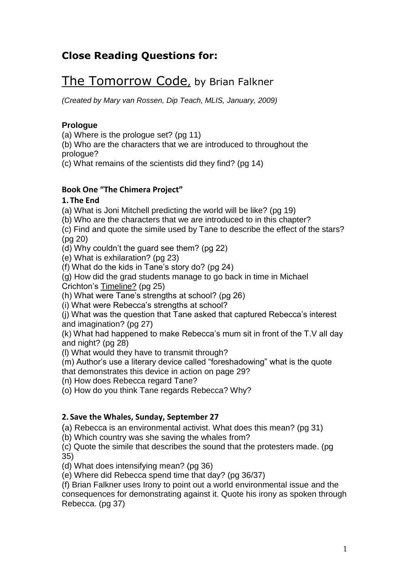# **Close Reading Questions for:**

# The Tomorrow Code, by Brian Falkner

*(Created by Mary van Rossen, Dip Teach, MLIS, January, 2009)*

#### **Prologue**

(a) Where is the prologue set? (pg 11)

(b) Who are the characters that we are introduced to throughout the prologue?

(c) What remains of the scientists did they find? (pg 14)

## **Book One "The Chimera Project"**

#### **1. The End**

(a) What is Joni Mitchell predicting the world will be like? (pg 19)

(b) Who are the characters that we are introduced to in this chapter?

(c) Find and quote the simile used by Tane to describe the effect of the stars? (pg 20)

(d) Why couldn"t the guard see them? (pg 22)

(e) What is exhilaration? (pg 23)

(f) What do the kids in Tane"s story do? (pg 24)

(g) How did the grad students manage to go back in time in Michael

Crichton"s Timeline? (pg 25)

(h) What were Tane"s strengths at school? (pg 26)

(i) What were Rebecca"s strengths at school?

(j) What was the question that Tane asked that captured Rebecca"s interest and imagination? (pg 27)

(k) What had happened to make Rebecca"s mum sit in front of the T.V all day and night? (pg 28)

(l) What would they have to transmit through?

(m) Author"s use a literary device called "foreshadowing" what is the quote

that demonstrates this device in action on page 29?

(n) How does Rebecca regard Tane?

(o) How do you think Tane regards Rebecca? Why?

#### **2. Save the Whales, Sunday, September 27**

(a) Rebecca is an environmental activist. What does this mean? (pg 31)

(b) Which country was she saving the whales from?

(c) Quote the simile that describes the sound that the protesters made. (pg 35)

(d) What does intensifying mean? (pg 36)

(e) Where did Rebecca spend time that day? (pg 36/37)

(f) Brian Falkner uses Irony to point out a world environmental issue and the consequences for demonstrating against it. Quote his irony as spoken through Rebecca. (pg 37)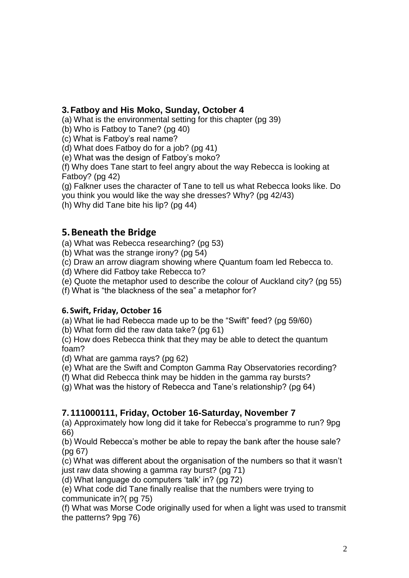## **3.Fatboy and His Moko, Sunday, October 4**

(a) What is the environmental setting for this chapter (pg 39)

(b) Who is Fatboy to Tane? (pg 40)

(c) What is Fatboy"s real name?

(d) What does Fatboy do for a job? (pg 41)

(e) What was the design of Fatboy"s moko?

(f) Why does Tane start to feel angry about the way Rebecca is looking at Fatboy? (pg 42)

(g) Falkner uses the character of Tane to tell us what Rebecca looks like. Do you think you would like the way she dresses? Why? (pg 42/43)

(h) Why did Tane bite his lip? (pg 44)

# **5.Beneath the Bridge**

(a) What was Rebecca researching? (pg 53)

(b) What was the strange irony? (pg 54)

(c) Draw an arrow diagram showing where Quantum foam led Rebecca to.

(d) Where did Fatboy take Rebecca to?

(e) Quote the metaphor used to describe the colour of Auckland city? (pg 55)

(f) What is "the blackness of the sea" a metaphor for?

#### **6. Swift, Friday, October 16**

(a) What lie had Rebecca made up to be the "Swift" feed? (pg 59/60)

(b) What form did the raw data take? (pg 61)

(c) How does Rebecca think that they may be able to detect the quantum foam?

(d) What are gamma rays? (pg 62)

(e) What are the Swift and Compton Gamma Ray Observatories recording?

(f) What did Rebecca think may be hidden in the gamma ray bursts?

(g) What was the history of Rebecca and Tane"s relationship? (pg 64)

# **7.111000111, Friday, October 16-Saturday, November 7**

(a) Approximately how long did it take for Rebecca"s programme to run? 9pg 66)

(b) Would Rebecca"s mother be able to repay the bank after the house sale? (pg 67)

(c) What was different about the organisation of the numbers so that it wasn"t just raw data showing a gamma ray burst? (pg 71)

(d) What language do computers "talk" in? (pg 72)

(e) What code did Tane finally realise that the numbers were trying to communicate in?( pg 75)

(f) What was Morse Code originally used for when a light was used to transmit the patterns? 9pg 76)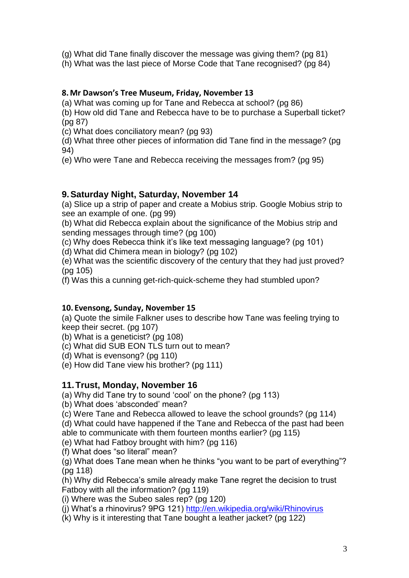(g) What did Tane finally discover the message was giving them? (pg 81)

(h) What was the last piece of Morse Code that Tane recognised? (pg 84)

#### **8.Mr Dawson's Tree Museum, Friday, November 13**

(a) What was coming up for Tane and Rebecca at school? (pg 86)

(b) How old did Tane and Rebecca have to be to purchase a Superball ticket? (pg 87)

(c) What does conciliatory mean? (pg 93)

(d) What three other pieces of information did Tane find in the message? (pg 94)

(e) Who were Tane and Rebecca receiving the messages from? (pg 95)

## **9.Saturday Night, Saturday, November 14**

(a) Slice up a strip of paper and create a Mobius strip. Google Mobius strip to see an example of one. (pg 99)

(b) What did Rebecca explain about the significance of the Mobius strip and sending messages through time? (pg 100)

(c) Why does Rebecca think it"s like text messaging language? (pg 101)

(d) What did Chimera mean in biology? (pg 102)

(e) What was the scientific discovery of the century that they had just proved? (pg 105)

(f) Was this a cunning get-rich-quick-scheme they had stumbled upon?

## **10. Evensong, Sunday, November 15**

(a) Quote the simile Falkner uses to describe how Tane was feeling trying to keep their secret. (pg 107)

(b) What is a geneticist? (pg 108)

(c) What did SUB EON TLS turn out to mean?

(d) What is evensong? (pg 110)

(e) How did Tane view his brother? (pg 111)

## **11.Trust, Monday, November 16**

(a) Why did Tane try to sound "cool" on the phone? (pg 113)

(b) What does 'absconded' mean?

(c) Were Tane and Rebecca allowed to leave the school grounds? (pg 114)

(d) What could have happened if the Tane and Rebecca of the past had been able to communicate with them fourteen months earlier? (pg 115)

(e) What had Fatboy brought with him? (pg 116)

(f) What does "so literal" mean?

(g) What does Tane mean when he thinks "you want to be part of everything"? (pg 118)

(h) Why did Rebecca"s smile already make Tane regret the decision to trust Fatboy with all the information? (pg 119)

(i) Where was the Subeo sales rep? (pg 120)

(i) What's a rhinovirus? 9PG 121)<http://en.wikipedia.org/wiki/Rhinovirus>

(k) Why is it interesting that Tane bought a leather jacket? (pg 122)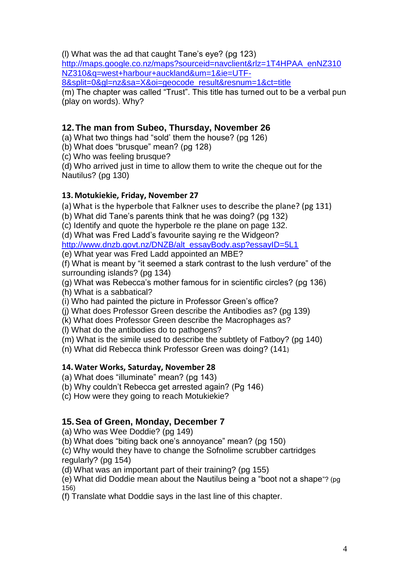(l) What was the ad that caught Tane"s eye? (pg 123)

[http://maps.google.co.nz/maps?sourceid=navclient&rlz=1T4HPAA\\_enNZ310](http://maps.google.co.nz/maps?sourceid=navclient&rlz=1T4HPAA_enNZ310NZ310&q=west+harbour+auckland&um=1&ie=UTF-8&split=0&gl=nz&sa=X&oi=geocode_result&resnum=1&ct=title) [NZ310&q=west+harbour+auckland&um=1&ie=UTF-](http://maps.google.co.nz/maps?sourceid=navclient&rlz=1T4HPAA_enNZ310NZ310&q=west+harbour+auckland&um=1&ie=UTF-8&split=0&gl=nz&sa=X&oi=geocode_result&resnum=1&ct=title)

[8&split=0&gl=nz&sa=X&oi=geocode\\_result&resnum=1&ct=title](http://maps.google.co.nz/maps?sourceid=navclient&rlz=1T4HPAA_enNZ310NZ310&q=west+harbour+auckland&um=1&ie=UTF-8&split=0&gl=nz&sa=X&oi=geocode_result&resnum=1&ct=title)

(m) The chapter was called "Trust". This title has turned out to be a verbal pun (play on words). Why?

# **12.The man from Subeo, Thursday, November 26**

(a) What two things had "sold" them the house? (pg 126)

- (b) What does "brusque" mean? (pg 128)
- (c) Who was feeling brusque?

(d) Who arrived just in time to allow them to write the cheque out for the Nautilus? (pg 130)

## **13.Motukiekie, Friday, November 27**

(a)What is the hyperbole that Falkner uses to describe the plane? (pg 131)

(b) What did Tane"s parents think that he was doing? (pg 132)

(c) Identify and quote the hyperbole re the plane on page 132.

(d) What was Fred Ladd"s favourite saying re the Widgeon?

[http://www.dnzb.govt.nz/DNZB/alt\\_essayBody.asp?essayID=5L1](http://www.dnzb.govt.nz/DNZB/alt_essayBody.asp?essayID=5L1)

(e) What year was Fred Ladd appointed an MBE?

(f) What is meant by "it seemed a stark contrast to the lush verdure" of the surrounding islands? (pg 134)

(g) What was Rebecca"s mother famous for in scientific circles? (pg 136) (h) What is a sabbatical?

(i) Who had painted the picture in Professor Green"s office?

(j) What does Professor Green describe the Antibodies as? (pg 139)

(k) What does Professor Green describe the Macrophages as?

(l) What do the antibodies do to pathogens?

(m) What is the simile used to describe the subtlety of Fatboy? (pg 140)

(n) What did Rebecca think Professor Green was doing? (141)

## **14.Water Works, Saturday, November 28**

(a) What does "illuminate" mean? (pg 143)

(b) Why couldn"t Rebecca get arrested again? (Pg 146)

(c) How were they going to reach Motukiekie?

# **15.Sea of Green, Monday, December 7**

(a) Who was Wee Doddie? (pg 149)

(b) What does "biting back one"s annoyance" mean? (pg 150)

(c) Why would they have to change the Sofnolime scrubber cartridges regularly? (pg 154)

(d) What was an important part of their training? (pg 155)

(e) What did Doddie mean about the Nautilus being a "boot not a shape"? (pg 156)

(f) Translate what Doddie says in the last line of this chapter.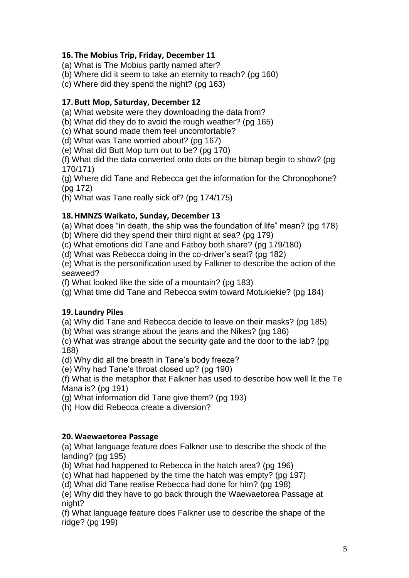#### **16. The Mobius Trip, Friday, December 11**

(a) What is The Mobius partly named after?

(b) Where did it seem to take an eternity to reach? (pg 160)

(c) Where did they spend the night? (pg 163)

#### **17.Butt Mop, Saturday, December 12**

(a) What website were they downloading the data from?

(b) What did they do to avoid the rough weather? (pg 165)

(c) What sound made them feel uncomfortable?

(d) What was Tane worried about? (pg 167)

(e) What did Butt Mop turn out to be? (pg 170)

(f) What did the data converted onto dots on the bitmap begin to show? (pg 170/171)

(g) Where did Tane and Rebecca get the information for the Chronophone? (pg 172)

(h) What was Tane really sick of? (pg 174/175)

#### **18.HMNZS Waikato, Sunday, December 13**

(a) What does "in death, the ship was the foundation of life" mean? (pg 178)

(b) Where did they spend their third night at sea? (pg 179)

(c) What emotions did Tane and Fatboy both share? (pg 179/180)

(d) What was Rebecca doing in the co-driver"s seat? (pg 182)

(e) What is the personification used by Falkner to describe the action of the seaweed?

(f) What looked like the side of a mountain? (pg 183)

(g) What time did Tane and Rebecca swim toward Motukiekie? (pg 184)

#### **19. Laundry Piles**

(a) Why did Tane and Rebecca decide to leave on their masks? (pg 185)

(b) What was strange about the jeans and the Nikes? (pg 186)

(c) What was strange about the security gate and the door to the lab? (pg 188)

(d) Why did all the breath in Tane"s body freeze?

(e) Why had Tane"s throat closed up? (pg 190)

(f) What is the metaphor that Falkner has used to describe how well lit the Te Mana is? (pg 191)

(g) What information did Tane give them? (pg 193)

(h) How did Rebecca create a diversion?

#### **20.Waewaetorea Passage**

(a) What language feature does Falkner use to describe the shock of the landing? (pg 195)

(b) What had happened to Rebecca in the hatch area? (pg 196)

(c) What had happened by the time the hatch was empty? (pg 197)

(d) What did Tane realise Rebecca had done for him? (pg 198)

(e) Why did they have to go back through the Waewaetorea Passage at night?

(f) What language feature does Falkner use to describe the shape of the ridge? (pg 199)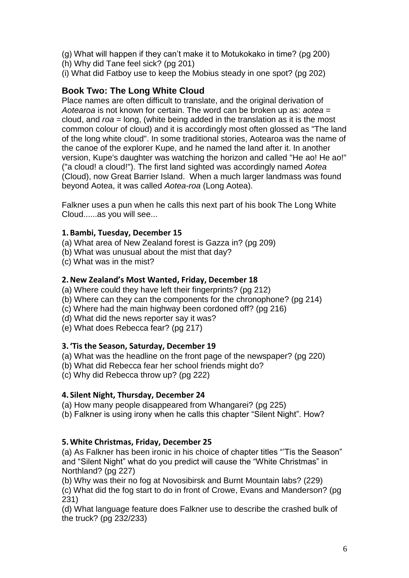- (g) What will happen if they can"t make it to Motukokako in time? (pg 200)
- (h) Why did Tane feel sick? (pg 201)
- (i) What did Fatboy use to keep the Mobius steady in one spot? (pg 202)

## **Book Two: The Long White Cloud**

Place names are often difficult to translate, and the original derivation of *Aotearoa* is not known for certain. The word can be broken up as: *aotea* = cloud, and *roa* = long, (white being added in the translation as it is the most common colour of cloud) and it is accordingly most often glossed as "The land of the long white cloud". In some traditional stories, Aotearoa was the name of the canoe of the explorer Kupe, and he named the land after it. In another version, Kupe's daughter was watching the horizon and called "He ao! He ao!" ("a cloud! a cloud!"). The first land sighted was accordingly named *Aotea* (Cloud), now Great Barrier Island. When a much larger landmass was found beyond Aotea, it was called *Aotea-roa* (Long Aotea).

Falkner uses a pun when he calls this next part of his book The Long White Cloud......as you will see...

## **1.Bambi, Tuesday, December 15**

- (a) What area of New Zealand forest is Gazza in? (pg 209)
- (b) What was unusual about the mist that day?
- (c) What was in the mist?

## **2.New Zealand's Most Wanted, Friday, December 18**

- (a) Where could they have left their fingerprints? (pg 212)
- (b) Where can they can the components for the chronophone? (pg 214)
- (c) Where had the main highway been cordoned off? (pg 216)
- (d) What did the news reporter say it was?
- (e) What does Rebecca fear? (pg 217)

## **3. 'Tis the Season, Saturday, December 19**

- (a) What was the headline on the front page of the newspaper? (pg 220)
- (b) What did Rebecca fear her school friends might do?
- (c) Why did Rebecca throw up? (pg 222)

## **4. Silent Night, Thursday, December 24**

(a) How many people disappeared from Whangarei? (pg 225)

(b) Falkner is using irony when he calls this chapter "Silent Night". How?

## **5.White Christmas, Friday, December 25**

(a) As Falkner has been ironic in his choice of chapter titles ""Tis the Season" and "Silent Night" what do you predict will cause the "White Christmas" in Northland? (pg 227)

(b) Why was their no fog at Novosibirsk and Burnt Mountain labs? (229) (c) What did the fog start to do in front of Crowe, Evans and Manderson? (pg 231)

(d) What language feature does Falkner use to describe the crashed bulk of the truck? (pg 232/233)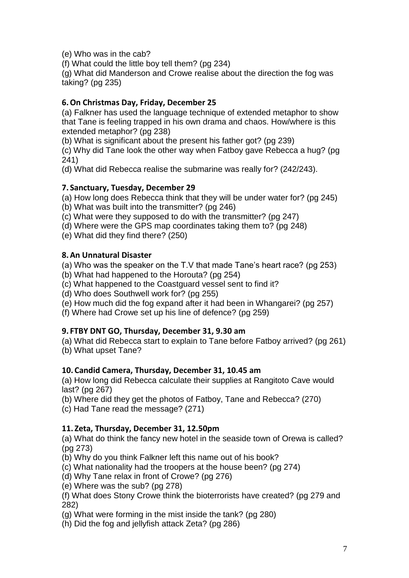(e) Who was in the cab?

(f) What could the little boy tell them? (pg 234)

(g) What did Manderson and Crowe realise about the direction the fog was taking? (pg 235)

#### **6.On Christmas Day, Friday, December 25**

(a) Falkner has used the language technique of extended metaphor to show that Tane is feeling trapped in his own drama and chaos. How/where is this extended metaphor? (pg 238)

(b) What is significant about the present his father got? (pg 239)

(c) Why did Tane look the other way when Fatboy gave Rebecca a hug? (pg 241)

(d) What did Rebecca realise the submarine was really for? (242/243).

#### **7. Sanctuary, Tuesday, December 29**

(a) How long does Rebecca think that they will be under water for? (pg 245)

(b) What was built into the transmitter? (pg 246)

(c) What were they supposed to do with the transmitter? (pg 247)

(d) Where were the GPS map coordinates taking them to? (pg 248)

(e) What did they find there? (250)

#### **8.An Unnatural Disaster**

(a) Who was the speaker on the T.V that made Tane"s heart race? (pg 253)

(b) What had happened to the Horouta? (pg 254)

(c) What happened to the Coastguard vessel sent to find it?

(d) Who does Southwell work for? (pg 255)

(e) How much did the fog expand after it had been in Whangarei? (pg 257)

(f) Where had Crowe set up his line of defence? (pg 259)

#### **9. FTBY DNT GO, Thursday, December 31, 9.30 am**

(a) What did Rebecca start to explain to Tane before Fatboy arrived? (pg 261) (b) What upset Tane?

#### **10. Candid Camera, Thursday, December 31, 10.45 am**

(a) How long did Rebecca calculate their supplies at Rangitoto Cave would last? (pg 267)

(b) Where did they get the photos of Fatboy, Tane and Rebecca? (270)

(c) Had Tane read the message? (271)

#### **11. Zeta, Thursday, December 31, 12.50pm**

(a) What do think the fancy new hotel in the seaside town of Orewa is called? (pg 273)

(b) Why do you think Falkner left this name out of his book?

(c) What nationality had the troopers at the house been? (pg 274)

(d) Why Tane relax in front of Crowe? (pg 276)

(e) Where was the sub? (pg 278)

(f) What does Stony Crowe think the bioterrorists have created? (pg 279 and 282)

(g) What were forming in the mist inside the tank? (pg 280)

(h) Did the fog and jellyfish attack Zeta? (pg 286)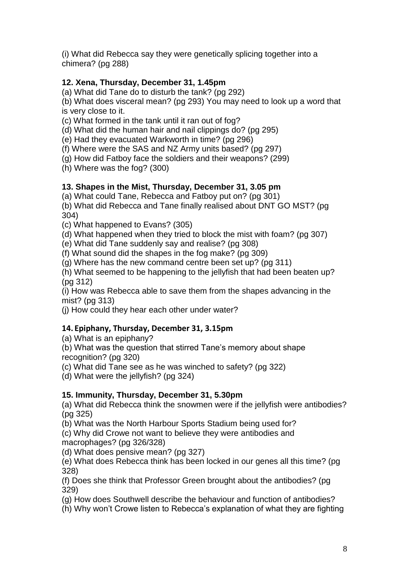(i) What did Rebecca say they were genetically splicing together into a chimera? (pg 288)

## **12. Xena, Thursday, December 31, 1.45pm**

(a) What did Tane do to disturb the tank? (pg 292)

(b) What does visceral mean? (pg 293) You may need to look up a word that is very close to it.

(c) What formed in the tank until it ran out of fog?

(d) What did the human hair and nail clippings do? (pg 295)

(e) Had they evacuated Warkworth in time? (pg 296)

(f) Where were the SAS and NZ Army units based? (pg 297)

(g) How did Fatboy face the soldiers and their weapons? (299)

(h) Where was the fog? (300)

## **13. Shapes in the Mist, Thursday, December 31, 3.05 pm**

(a) What could Tane, Rebecca and Fatboy put on? (pg 301)

(b) What did Rebecca and Tane finally realised about DNT GO MST? (pg 304)

(c) What happened to Evans? (305)

(d) What happened when they tried to block the mist with foam? (pg 307)

(e) What did Tane suddenly say and realise? (pg 308)

(f) What sound did the shapes in the fog make? (pg 309)

(g) Where has the new command centre been set up? (pg 311)

(h) What seemed to be happening to the jellyfish that had been beaten up? (pg 312)

(i) How was Rebecca able to save them from the shapes advancing in the mist? (pg 313)

(j) How could they hear each other under water?

## **14. Epiphany, Thursday, December 31, 3.15pm**

(a) What is an epiphany?

(b) What was the question that stirred Tane"s memory about shape recognition? (pg 320)

(c) What did Tane see as he was winched to safety? (pg 322)

(d) What were the jellyfish? (pg 324)

## **15. Immunity, Thursday, December 31, 5.30pm**

(a) What did Rebecca think the snowmen were if the jellyfish were antibodies? (pg 325)

(b) What was the North Harbour Sports Stadium being used for?

(c) Why did Crowe not want to believe they were antibodies and macrophages? (pg 326/328)

(d) What does pensive mean? (pg 327)

(e) What does Rebecca think has been locked in our genes all this time? (pg 328)

(f) Does she think that Professor Green brought about the antibodies? (pg 329)

(g) How does Southwell describe the behaviour and function of antibodies?

(h) Why won"t Crowe listen to Rebecca"s explanation of what they are fighting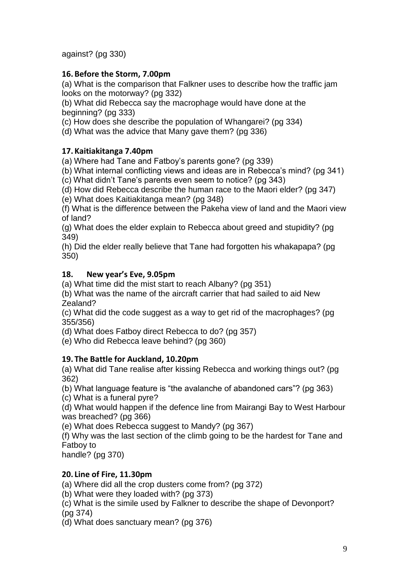against? (pg 330)

## **16.Before the Storm, 7.00pm**

(a) What is the comparison that Falkner uses to describe how the traffic jam looks on the motorway? (pg 332)

(b) What did Rebecca say the macrophage would have done at the beginning? (pg 333)

(c) How does she describe the population of Whangarei? (pg 334)

(d) What was the advice that Many gave them? (pg 336)

# **17. Kaitiakitanga 7.40pm**

(a) Where had Tane and Fatboy"s parents gone? (pg 339)

(b) What internal conflicting views and ideas are in Rebecca"s mind? (pg 341)

(c) What didn"t Tane"s parents even seem to notice? (pg 343)

(d) How did Rebecca describe the human race to the Maori elder? (pg 347)

(e) What does Kaitiakitanga mean? (pg 348)

(f) What is the difference between the Pakeha view of land and the Maori view of land?

(g) What does the elder explain to Rebecca about greed and stupidity? (pg 349)

(h) Did the elder really believe that Tane had forgotten his whakapapa? (pg 350)

## **18. New year's Eve, 9.05pm**

(a) What time did the mist start to reach Albany? (pg 351)

(b) What was the name of the aircraft carrier that had sailed to aid New Zealand?

(c) What did the code suggest as a way to get rid of the macrophages? (pg 355/356)

(d) What does Fatboy direct Rebecca to do? (pg 357)

(e) Who did Rebecca leave behind? (pg 360)

## **19. The Battle for Auckland, 10.20pm**

(a) What did Tane realise after kissing Rebecca and working things out? (pg 362)

(b) What language feature is "the avalanche of abandoned cars"? (pg 363) (c) What is a funeral pyre?

(d) What would happen if the defence line from Mairangi Bay to West Harbour was breached? (pg 366)

(e) What does Rebecca suggest to Mandy? (pg 367)

(f) Why was the last section of the climb going to be the hardest for Tane and Fatboy to

handle? (pg 370)

# **20. Line of Fire, 11.30pm**

(a) Where did all the crop dusters come from? (pg 372)

(b) What were they loaded with? (pg 373)

(c) What is the simile used by Falkner to describe the shape of Devonport? (pg 374)

(d) What does sanctuary mean? (pg 376)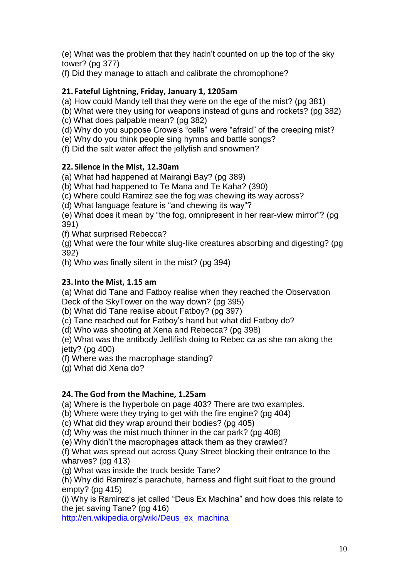(e) What was the problem that they hadn"t counted on up the top of the sky tower? (pg 377)

(f) Did they manage to attach and calibrate the chromophone?

## **21. Fateful Lightning, Friday, January 1, 1205am**

- (a) How could Mandy tell that they were on the ege of the mist? (pg 381)
- (b) What were they using for weapons instead of guns and rockets? (pg 382)
- (c) What does palpable mean? (pg 382)
- (d) Why do you suppose Crowe's "cells" were "afraid" of the creeping mist?
- (e) Why do you think people sing hymns and battle songs?

(f) Did the salt water affect the jellyfish and snowmen?

## **22. Silence in the Mist, 12.30am**

(a) What had happened at Mairangi Bay? (pg 389)

(b) What had happened to Te Mana and Te Kaha? (390)

(c) Where could Ramirez see the fog was chewing its way across?

(d) What language feature is "and chewing its way"?

(e) What does it mean by "the fog, omnipresent in her rear-view mirror"? (pg 391)

(f) What surprised Rebecca?

(g) What were the four white slug-like creatures absorbing and digesting? (pg 392)

(h) Who was finally silent in the mist? (pg 394)

## **23. Into the Mist, 1.15 am**

(a) What did Tane and Fatboy realise when they reached the Observation Deck of the SkyTower on the way down? (pg 395)

(b) What did Tane realise about Fatboy? (pg 397)

(c) Tane reached out for Fatboy"s hand but what did Fatboy do?

(d) Who was shooting at Xena and Rebecca? (pg 398)

(e) What was the antibody Jellifish doing to Rebec ca as she ran along the jetty? (pg 400)

(f) Where was the macrophage standing?

(g) What did Xena do?

## **24. The God from the Machine, 1.25am**

(a) Where is the hyperbole on page 403? There are two examples.

(b) Where were they trying to get with the fire engine? (pg 404)

(c) What did they wrap around their bodies? (pg 405)

(d) Why was the mist much thinner in the car park? (pg 408)

(e) Why didn"t the macrophages attack them as they crawled?

(f) What was spread out across Quay Street blocking their entrance to the wharves? (pg 413)

(g) What was inside the truck beside Tane?

(h) Why did Ramirez's parachute, harness and flight suit float to the ground empty? (pg 415)

(i) Why is Ramirez"s jet called "Deus Ex Machina" and how does this relate to the jet saving Tane? (pg 416)

[http://en.wikipedia.org/wiki/Deus\\_ex\\_machina](http://en.wikipedia.org/wiki/Deus_ex_machina)